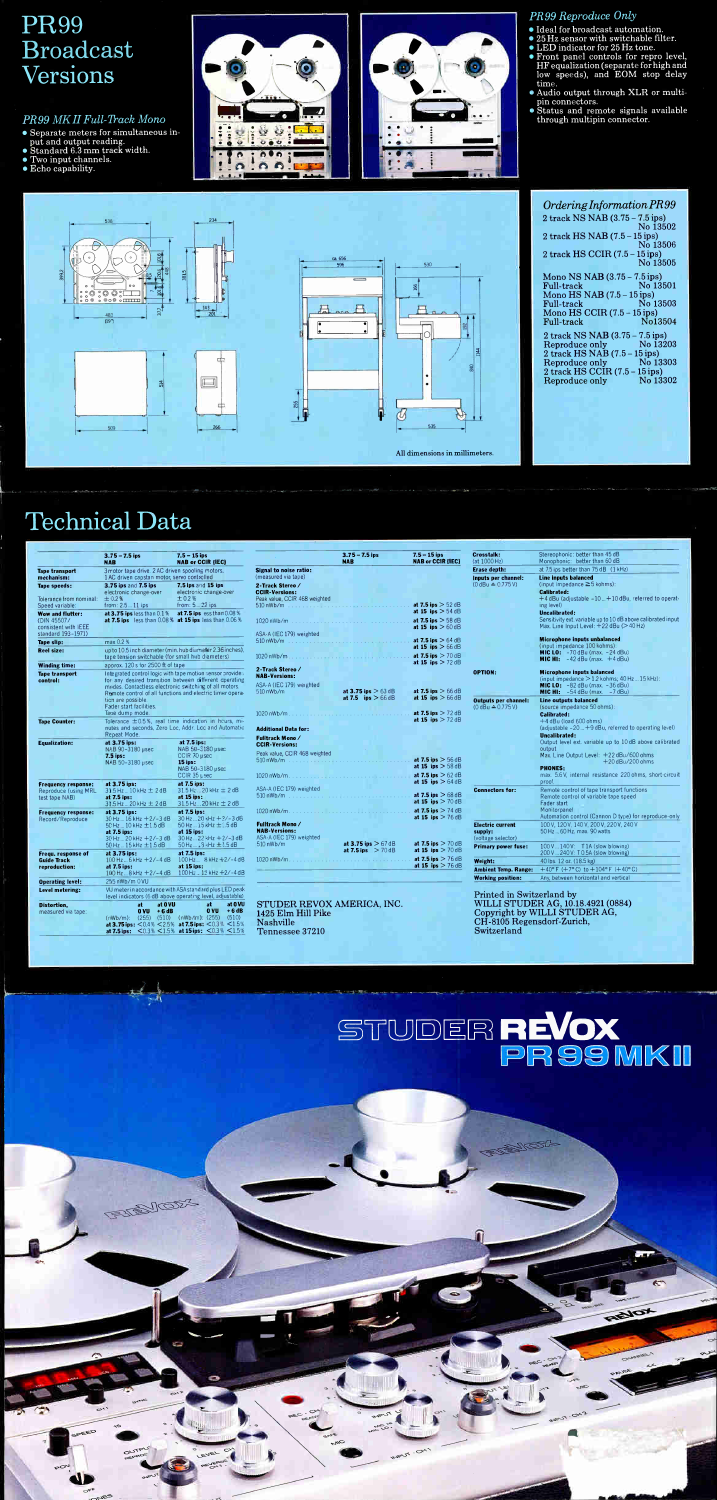## PR99 Broadcast Versions

## PR99 MK II Full-Track Mono

- Separate meters for simultaneous in-
- put and output reading. Standard 6.3 mm track width.
- Two input channels.
- Echo capability.





## Technical Data

-r



|                                                                      |                                                                                                                                                                | NAB 50-3180 µsec<br>CCIR 35 µsec                                                                                                                                       |
|----------------------------------------------------------------------|----------------------------------------------------------------------------------------------------------------------------------------------------------------|------------------------------------------------------------------------------------------------------------------------------------------------------------------------|
| <b>Frequency response:</b><br>Reproduce (using MRL<br>test tape NAB) | at 3.75 ips:<br>$31.5$ Hz  10 kHz $\pm$ 2 dB<br>at 7.5 ips:<br>31.5 Hz  20 kHz ± 2 dB                                                                          | at 7.5 ips:<br>$31.5$ Hz $.20$ kHz $= 2$ dB<br>at 15 ips:<br>31.5 Hz  20 kHz $\pm$ 2 dB                                                                                |
| <b>Frequency response:</b><br>Record/Reproduce                       | at 3.75 ips:<br>$30$ Hz $$ 16 kHz $+2$ /-3 dB<br>$50$ Hz $$ 10 kHz $\pm$ 1.5 dB<br>at 7.5 ips:<br>$30$ Hz  20 kHz $+2/-3$ dB<br>$50$ Hz $$ 15 kHz $\pm$ 1.5 dB | at 7.5 ips:<br>$30$ Hz $20$ < Hz + $2/-3$ dB<br>$50$ Hz $$ 15 kHz $\pm 1.5$ dB<br>at 15 ips:<br>$30$ Hz $22$ kHz $+2/-3$ dB<br>50 Hz 13 <hz db<="" td="" ±1.5=""></hz> |
| Fregu. response of<br><b>Guide Track</b><br>reproduction:            | at 3.75 ips:<br>$100$ Hz $$ 6 kHz $+2$ /-4 dB<br>at 7.5 ips:<br>100 Hz  8 kHz +2/-4 dB                                                                         | at 7.5 ips:<br>$100 \text{ Hz}$ $8 \text{ kHz} + 2/-4 \text{ dB}$<br>at $15$ ips:<br>100 Hz., 12 kHz +2/-4 dB                                                          |
| <b>Operating level:</b>                                              | 255 nWb/m 0 VU                                                                                                                                                 |                                                                                                                                                                        |
| Level metering:                                                      |                                                                                                                                                                | VU meter in accordance with ASA standard plus LED peak<br>level indicators (6 dB above operating level, adjustable)                                                    |
| <b>Distortion,</b><br>measured via tape:                             | at 0 VU<br>at<br>O VU<br>$+6dB$<br>$(nWb/m)$ : (255) (510)<br>at 7.5 ips: $< 0.3\% < 1.5\%$                                                                    | at -<br>at 0 VU<br>0 VU<br>$+6dB$<br>$(nWb/m)$ : (255)<br>(510)<br>at 3.75 ips: $<$ 0.4% $<$ 2.5% at 7.5 ips: $<$ 0.3% $<$ 1.5%<br>at 15ips: $< 0.3\% < 1.5\%$         |

FUENIOZA

|                                                                               | $3.75 - 7.5$ ips<br><b>NAB</b>                                                                  | $7.5 - 15$ ips<br><b>NAB or CCIR (IEC)</b>                                                                                                                                                                                                 |                                                                           | $3.75 - 7.5$ ips<br><b>NAB</b> | $7.5 - 15$ ips<br><b>NAB or CCIR (IEC)</b>                         | <b>Crosstalk:</b><br>(at 1000 Hz)                          | Stereophonic: better than 45 dB<br>Monophonic: better than 60 dB                                                                                                              |
|-------------------------------------------------------------------------------|-------------------------------------------------------------------------------------------------|--------------------------------------------------------------------------------------------------------------------------------------------------------------------------------------------------------------------------------------------|---------------------------------------------------------------------------|--------------------------------|--------------------------------------------------------------------|------------------------------------------------------------|-------------------------------------------------------------------------------------------------------------------------------------------------------------------------------|
| <b>Tape transport</b><br>mechanism:                                           | 3 motor tape drive. 2 AC driven spooling motors.<br>1 AC driven capstan motor, servo controlled |                                                                                                                                                                                                                                            | Signal to noise ratio:<br>(measured via tape)                             |                                |                                                                    | <b>Erase depth:</b><br>Inputs per channel:                 | at 7.5 ips better than 75 dB (1 kHz)<br>Line inputs balanced                                                                                                                  |
| Tape speeds:<br>Tolerance from nominal:<br>Speed variable:                    | 3.75 ips and 7.5 ips<br>electronic change-over<br>$+0.2%$<br>from: $2.511$ ips                  | 7.5 ips and 15 ips<br>electronic change-over<br>$\pm 0.2 \%$<br>from: $522$ ips                                                                                                                                                            | 2-Track Stereo/<br><b>CCIR-Versions:</b><br>Peak value, CCIR 468 weighted |                                | at 7.5 ips $> 52$ dB                                               | $(0dBu \triangleq 0.775V)$                                 | (input impedance $\geq$ 5 kohms):<br><b>Calibrated:</b><br>+4 dBu (adjustable -10  +10 dBu, referred to operat-<br>ing level)                                                 |
| Wow and flutter:<br>(DIN 45507/<br>consistent with IEEE<br>standard 193-1971) | at 3.75 ips less than $0.1\%$                                                                   | at 7.5 ips $\text{ess than } 0.08\%$<br>at 7.5 ips less than 0.08% at 15 ips less than 0.06%                                                                                                                                               | $1020$ nWb/m<br>ASA-A (IEC 179) weighted                                  |                                | at 15 ips $> 54$ dB<br>at 7.5 ips $>$ 58 dB<br>at 15 ips $> 60$ dB |                                                            | <b>Uncalibrated:</b><br>Sensitivity ext. variable up to 10 dB above calibrated input<br>Max. Line Input Level: $+22$ dBu ( $>$ 40 Hz)                                         |
| Tape slip:                                                                    | max 0.2%                                                                                        |                                                                                                                                                                                                                                            |                                                                           |                                | at 7.5 ips $> 64$ dB                                               |                                                            | <b>Microphone inputs unbalanced</b><br>(input impedance 100 kohms):                                                                                                           |
| <b>Reel size:</b>                                                             | tape tension switchable (for small hub diameters)                                               | up to 10.5 inch diameter (min. hub diameter 2.36 inches),                                                                                                                                                                                  | $1020 \text{ nWb/m}$                                                      |                                | at 15 ips $> 66$ dB<br>at 7.5 ips $> 70$ dB                        |                                                            | <b>MIC LO:</b> $-70$ dBu (max. $-24$ dBu)<br><b>MIC HI:</b> $-42$ dBu (max. $+4$ dBu)                                                                                         |
| <b>Winding time:</b>                                                          | approx. 120 s for 2500 ft of tape                                                               |                                                                                                                                                                                                                                            | 2-Track Stereo/                                                           |                                | at 15 ips $> 72$ dB                                                |                                                            |                                                                                                                                                                               |
| <b>Tape transport</b><br>control:                                             |                                                                                                 | Integrated control logic with tape motion sensor provides<br>for any desired transition between different coerating<br>modes. Contactless electronic switching of all motors.<br>Remote control of all functions and electric timer opera- | <b>NAB-Versions:</b><br>ASA-A (IEC 179) weighted<br>$510 \text{ nWb/m}$   | at 3.75 ips $> 63$ dB          | at 7.5 ips $> 66$ dB                                               | <b>OPTION:</b>                                             | <b>Microphone inputs balanced</b><br>(input impedance $>$ 1.2 kohms; 40 Hz  15 kHz):<br><b>MIC LO:</b> $-82$ dBu (max. $-36$ dBu)<br><b>MIC HI:</b> $-54$ dBu (max. $-7$ dBu) |
|                                                                               | tion are possible.<br>Fader start facilities.<br>Tape dump mode.                                |                                                                                                                                                                                                                                            | $1020 \text{ nWb/m}$                                                      | at 7.5 ips $> 66$ dB           | at 15 ips $> 66$ dB<br>at 7.5 ips $>$ 72 dB                        | <b>Outputs per channel:</b><br>$(0 dBu \triangle 0.775 V)$ | <b>Line outputs balanced</b><br>(source impedance 50 ohms):<br><b>Calibrated:</b>                                                                                             |
| <b>Tape Counter:</b>                                                          | Repeat Mode.                                                                                    | Tolerance ±0.5%, real time indication in hours, mi-<br>nutes and seconds. Zero Loc. Addr. Loc and Automatic                                                                                                                                | <b>Additional Data for:</b>                                               |                                | at 15 ips $> 72$ dB                                                |                                                            | $+4$ dBu (load 600 ohms)<br>(adjustable $-20 - +9$ dBu, referred to operating level)<br><b>Uncalibrated:</b>                                                                  |
| <b>Equalization:</b>                                                          | at 3.75 ips:<br>NAB 90-3180 µsec<br>7.5 ips:<br>NAB 50-3180 µsec                                | at 7.5 ips:<br>NAB 50-3180 usec<br>$CCIR$ 70 $\mu$ sec<br>$15$ ips:                                                                                                                                                                        | Fulltrack Mono/<br><b>CCIR-Versions:</b><br>Peak value, CCIR 468 weighted |                                | at 7.5 ips $> 56$ dB<br>$-1.48$ $1-2.5$ CO JD.                     |                                                            | Output level ext. variable up to 10dB above calibrated<br>output<br>Max. Line Output Level: +22 dBu/600 ohms<br>$+20$ dBu/200 ohms                                            |

|                          |                       | <b>at 13 HPS</b> $>$ 30 HD |
|--------------------------|-----------------------|----------------------------|
|                          |                       | at 7.5 ips $>62$ dB        |
|                          |                       | at 15 ips $> 64$ dB        |
| ASA-A (IEC 179) weighted |                       |                            |
|                          |                       | at 7.5 ips $> 68$ dB       |
|                          |                       | at 15 ips $> 70$ dB        |
|                          |                       | at 7.5 ips $>$ 74 dB       |
|                          |                       | at 15 ips $>$ 76 dB        |
| Fulitrack Mono⁄          |                       |                            |
| <b>NAB-Versions:</b>     |                       |                            |
| ASA-A (IEC 179) weighted |                       |                            |
| 510 nWb/m                | at 3.75 ips $> 67$ dB | at 7.5 ips $>$ 70 dB       |
|                          | at 7.5 ips $> 70$ dB  | at 15 ips $> 70$ dB        |
|                          |                       | at 7.5 ips $> 76$ dB       |
|                          |                       | at 15 ips $>$ 76 dB        |
|                          |                       |                            |
|                          |                       |                            |

STUDER RE VOX AMERICA, INC. 1425 Elm Hill Pike Nashville Tennessee 37210

111110-411>

pee"

 $m_c$ 

## PR99 Reproduce Only

- Ideal for broadcast automation.
- 25 Hz sensor with switchable filter.
- LED indicator for 25 Hz tone.
- Front panel controls for repro level, HF equalization (separate for high and low speeds), and EOM stop delay
- time. Audio output through XLR or multipin connectors.
- Status and remote signals available through multipin connector.

| Ordering Information PR99                          |  |                      |
|----------------------------------------------------|--|----------------------|
| 2 track NS NAB (3.75 - 7.5 ips)                    |  | No 13502             |
| 2 track HS NAB $(7.5-15$ ips)                      |  |                      |
| $2$ track HS CCIR $(7.5 - 15$ ips)                 |  | No 13506             |
|                                                    |  | No 13505             |
| Mono NS NAB (3.75 - 7.5 ips)<br><b>Full-track</b>  |  | No 13501             |
| Mono HS NAB $(7.5-15$ ips)                         |  |                      |
| Full-track<br>Mono HS CCIR $(7.5 - 15$ ips)        |  | No 13503             |
| Full-track                                         |  | No13504              |
| 2 track NS NAB (3.75 – 7.5 ips)<br>Reproduce only  |  | No 13203             |
| $2$ track HS NAB $(7.5 - 15$ ips)                  |  | <b>Example 13303</b> |
| Reproduce only<br>$2$ track HS CCIR $(7.5-15$ ips) |  |                      |
| Reproduce only No 13302                            |  |                      |
|                                                    |  |                      |

|                                                          | <b>PHONES:</b><br>max. 5.6 V. internal resistance 220 ohms, short-circuit<br>proof.                                                                                                |  |
|----------------------------------------------------------|------------------------------------------------------------------------------------------------------------------------------------------------------------------------------------|--|
| <b>Connectors for:</b>                                   | Remote control of tape transport functions<br>Remote control of variable tape speed<br><b>Fader start</b><br>Monitorpanel<br>Automation control (Cannon D type) for reproduce-only |  |
| <b>Electric current</b><br>supply:<br>(voltage selector) | 100 V, 120 V, 140 V, 200 V, 220 V, 240 V<br>50 Hz  60 Hz, max. 90 watts                                                                                                            |  |
| <b>Primary power fuse:</b>                               | $100V140V$ : T1A (slow blowing)<br>200 V  240 V: T 0.5A (slow blowing)                                                                                                             |  |
| Weight:                                                  | 40 lbs. 12 oz. (18.5 kg)                                                                                                                                                           |  |
| <b>Ambient Temp. Range:</b>                              | $+40^{\circ}$ F (+7°C) to $+104^{\circ}$ F (+40°C)                                                                                                                                 |  |
| <b>Working position:</b>                                 | Any, between horizontal and vertical                                                                                                                                               |  |

Printed in Switzerland by WILLI STUDER AG, 10.18.4921 (0884) Copyright by WILLI STUDER AG,  $CH$ -8103 regensdorf-Zurich,  $\blacksquare$ Switzerland

 $\bullet$ 

REIOX

4•-•

114111111winwor''

# STUDER REVOX<br>PR99 MKII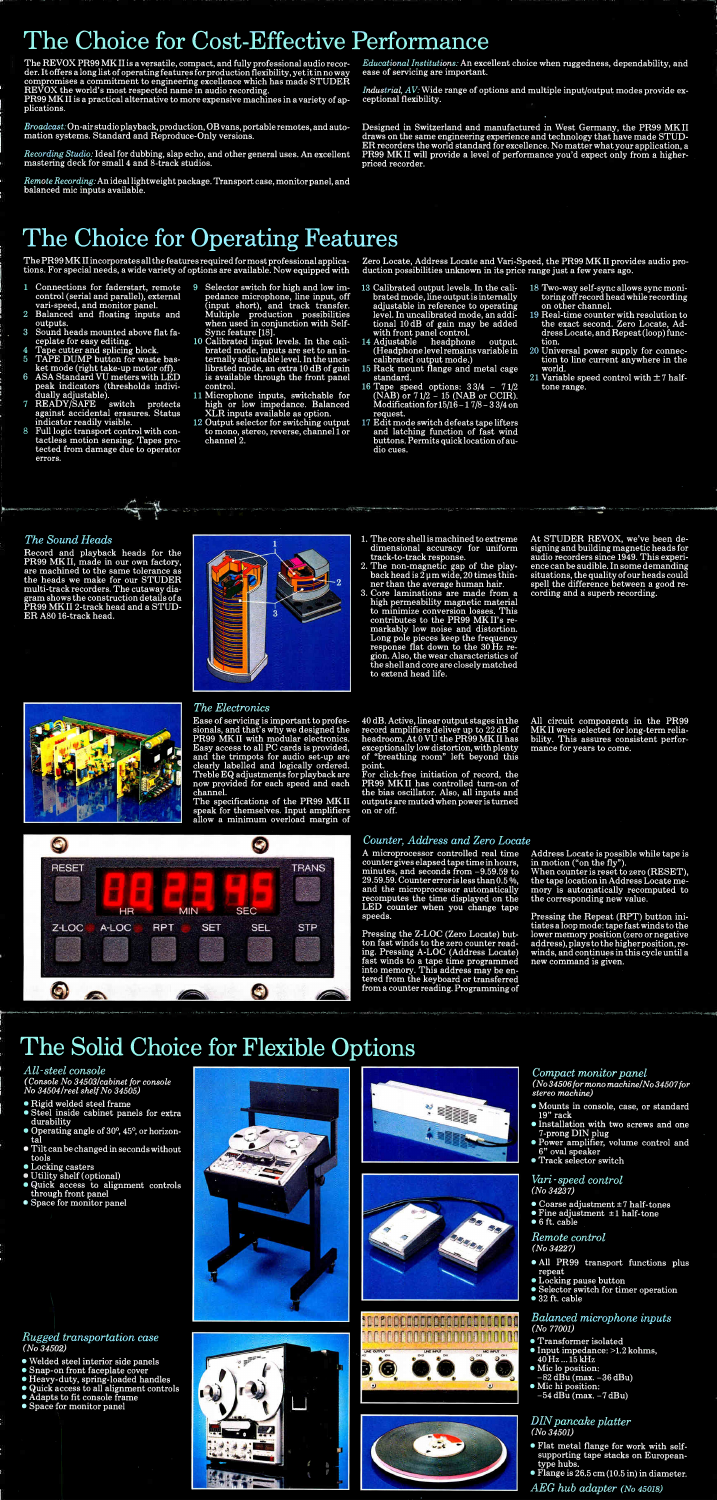## The Choice for Cost-Effective Performance

The RE VOX PR99 MK II is a versatile, compact, and fully professional audio recorder. It offers a long list of operating features for production flexibility, yet it in no way compromises a commitment to engineering excellence which has made STUDER RE VOX the world's most respected name in audio recording.

PR99 MK II is a practical alternative to more expensive machines in a variety of applications.

Broadcast: On-air studio playback, production, OB vans, portable remotes, and automation systems. Standard and Reproduce-Only versions.

Industrial, AV: Wide range of options and multiple input/output modes provide exceptional flexibility.

Recording Studio: Ideal for dubbing, slap echo, and other general uses. An excellent mastering deck for small 4 and 8-track studios.

Remote Recording: An ideal lightweight package. Transport case, monitor panel, and balanced mic inputs available.

Educational Institutions: An excellent choice when ruggedness, dependability, and ease of servicing are important.

Designed in Switzerland and manufactured in West Germany, the PR99 MK II draws on the same engineering experience and technology that have made  ${\tt S1UD-}$ ER recorders the world standard for excellence. No matter what your application, a PR99 MK II will provide a level of performance you'd expect only from a higherpriced recorder.

## The Choice for Operating Features

The PR99 MK II incorporates all the features required for most professional applications. For special needs, a wide variety of options are available. Now equipped with

- 9 Selector switch for high and low  $\lim_{n \to \infty} 13$ pedance microphone, line input, off (input short), and track transfer. Multiple production possibilities when used in conjunction with Self-Sync feature [18].
- 10 Calibrated input levels. In the cali- 14 brated mode, inputs are set to an internally adjustable level. In the uncalibrated mode, an extra 10 dB of gain 15 is available through the front panel control. 10 1
- 11 Microphone inputs, switchable for high or low impedance. Balanced XLR inputs available as option.
- 12 Output selector for switching output 17 to mono, stereo, reverse, channel  ${\bf l}$  or channel 2.
- Connections for faderstart, remote control (serial and parallel), external vari-speed, and monitor panel.
- Balanced and floating inputs and  $\overline{2}$ outputs.
- Sound heads mounted above flat fa- $\boldsymbol{3}$ ceplate for easy editing.
- Tape cutter and splicing block.  $\boldsymbol{\Lambda}$
- 5 TAPE DUMP button for waste basket mode (right take-up motor off). 6
- ASA Standard VU meters with LED peak indicators (thresholds individually adjustable).
- 7 READY/SAFE switch protects against accidental erasures. Status indicator readily visible.
- 8 Full logic transport control with contactless motion sensing. Tapes protected from damage due to operator errors.

 $, -4$ 

Ease of servicing is important to professionals, and that's why we designed the PR99 MK II with modular electronics. Easy access to all PC cards is provided, and the trimpots for audio set-up are clearly labelled and logically ordered. Treble EQ adjustments for playback are now provided for each speed and each channel.

The specifications of the PR99 MK II speak for themselves. Input amplifiers allow a minimum overload margin of



## The Sound Heads

Record and playback heads for the PR99 MK II, made in our own factory, are machined to the same tolerance as the heads we make for our STUDER multi-track recorders. The cutaway diagram shows the construction details of a PR99 MK II 2-track head and a STUD-ER A80 16-track head.



Zero Locate, Address Locate and Vari-Speed, the PR99 MK II provides audio production possibilities unknown in its price range just a few years ago.

## The Electronics

### Vari-speed control (No 34237)

- Transformer isolated
- Input impedance: >1.2 kohms, 40 Hz ... 15 kHz
- Mic lo position:  $-82$  dBu (max.  $-36$  dBu)
- Mic hi position:  $-54$  dBu (max.  $-7$  dBu)
- Calibrated output levels. In the calibrated mode, line output is internally adjustable in reference to operating level. In uncalibrated mode, an additional 10 dB of gain may be added with front panel control.
- Adjustable headphone output. (Headphone level remains variable in calibrated output mode.)
- rack mount hange and metal cage
- standard. Tape speed options: 3 3/4 7 1/2  $(NAB)$  or  $71/2 - 15$  (NAB or CCIR). Modification for 15/16 - 1 7/8 - 3 3/4 on request.
- Edit mode switch defeats tape lifters and latching function of fast wind buttons. Permits quick location of audio cues.
- 18 Two-way self-sync allows sync monitoring off record head while recording on other channel.
- 19 Real-time counter with resolution to the exact second. Zero Locate, Address Locate, and Repeat (loop) function.
- 20 Universal power supply for connection to line current anywhere in the world.
- 21 Variable speed control with  $\pm 7$  halftone range.

- 1. The core shell is machined to extreme dimensional accuracy for uniform track-to-track response.
- 2. The non-magnetic gap of the playback head is  $2\,\mathrm{\upmu m}$  wide,  $20$  times thinner than the average human hair.
- 3. Core laminations are made from a high permeability magnetic material to minimize conversion losses. This contributes to the PR99 MK II's remarkably low noise and distortion. Long pole pieces keep the frequency response flat down to the 30 Hz region. Also, the wear characteristics of the shell and core are closely matched to extend head life.

40 dB. Active, linear output stages in the record amplifiers deliver up to 22 dB of headroom. At 0 VU the PR99 MK II has exceptionally low distortion, with plenty of "breathing room" left beyond this point.

For click-free initiation of record, the PR99 MKII has controlled turn-on of the bias oscillator. Also, all inputs and outputs are muted when power is turned on or off.

At STUDER RE VOX, we've been designing and building magnetic heads for audio recorders since 1949. This experience can be audible. In some demanding situations, the quality of our heads could spell the difference between a good recording and a superb recording.

. "NM" and the second control of the second control of the second control of the second control of the second control of the second control of the second control of the second control of the second control of the second co



## Counter, Address and Zero Locate

A microprocessor controlled real time counter gives elapsed tape time in hours, minutes, and seconds from -9.59.59 to 29.59.59. Counter error is less than 0.5%, and the microprocessor automatically recomputes the time displayed on the LED counter when you change tape speeds.

Pressing the Z-LOC (Zero Locate) button fast winds to the zero counter reading. Pressing A-LOC (Address Locate) fast winds to a tape time programmed into memory. This address may be entered from the keyboard or transferred from a counter reading. Programming of

## The Solid Choice for Flexible Options

### All -steel console

(Console No 34503/cabinet for console No 34504/reel shelf No 34505)

- Rigid welded steel frame
- Steel inside cabinet panels for extra durability
- Operating angle of 30°, 45°, or horizontal
- Tilt can be changed in seconds without tools
- Locking casters
- Utility shelf (optional)
- Quick access to alignment controls through front panel
- Space for monitor panel

## Rugged transportation case (No 34502)

- Welded steel interior side panels
- Snap-on front faceplate cover
- Heavy-duty, spring-loaded handles
- Quick access to all alignment controls
- Adapts to fit console frame Space for monitor panel











All circuit components in the PR99 MK II were selected for long-term reliability. This assures consistent performance for years to come.

Address Locate is possible while tape is in motion ("on the fly").

When counter is reset to zero (RESET), the tape location in Address Locate memory is automatically recomputed to the corresponding new value.

Pressing the Repeat (RPT) button initiates a loop mode: tape fast winds to the lower memory position (zero or negative address), plays to the higher position, rewinds, and continues in this cycle until a new command is given.

### Compact monitor panel (No 34506 for mono machine' No 34507 for

- stereo machine) Mounts in console, case, or standard 19" rack
- Installation with two screws and one 7-prong DIN plug
- Power amplifier, volume control and 6" oval speaker
- Track selector switch

- Coarse adjustment ± 7 half-tones
- Fine adjustment  $\pm 1$  half-tone
- 6 ft. cable

### Remote control (No 34227)

- All PR99 transport functions plus repeat
- Locking pause button
- Selector switch for timer operation
- 32 ft. cable

### Balanced microphone inputs (No 77001)

## DIN pancake platter (No 34501)

- Flat metal flange for work with selfsupporting tape stacks on Europeantype hubs.
- Flange is 26.5 cm (10.5 in) in diameter.

AEG hub adapter (No 45018)

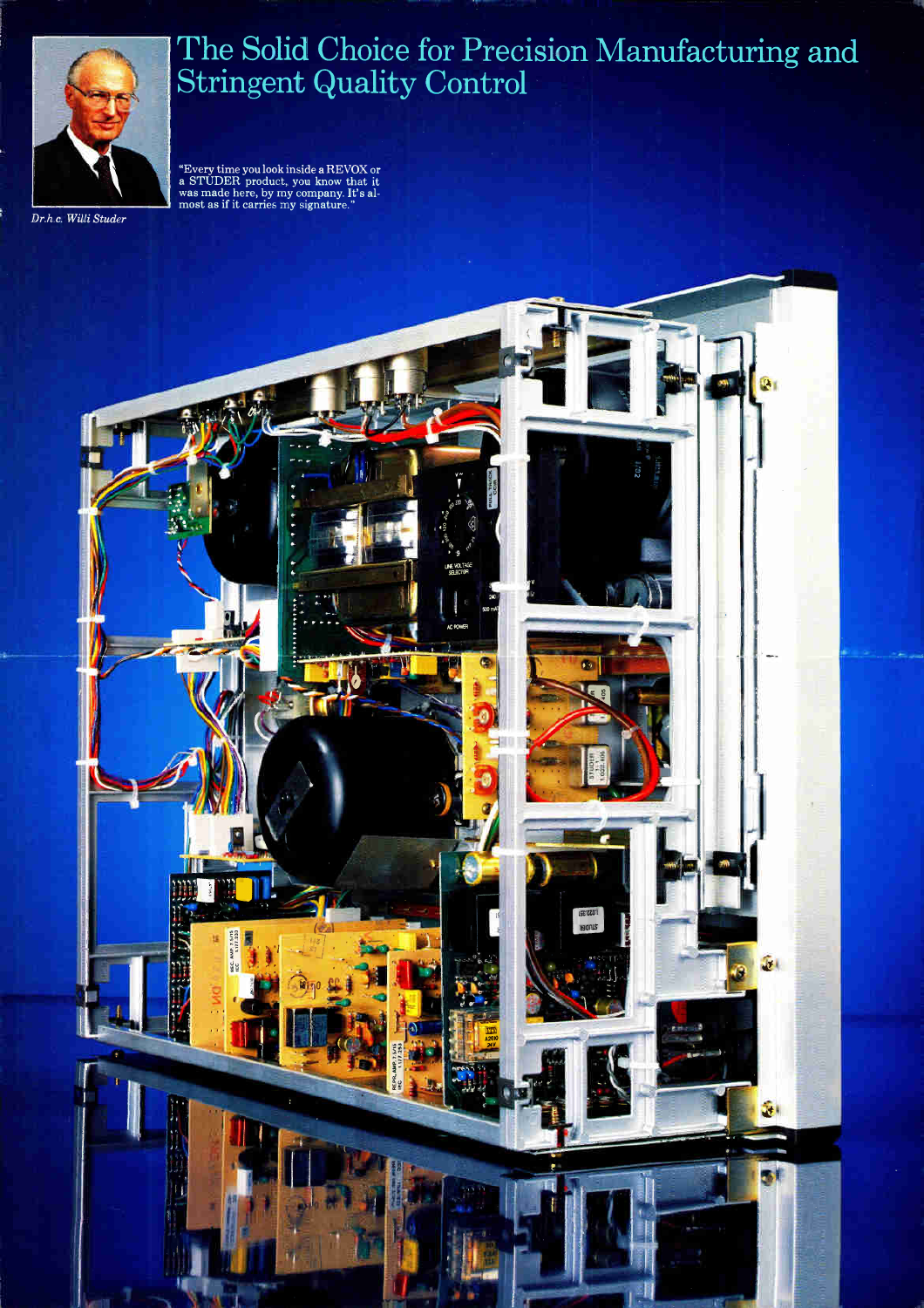## The Solid Choice for Precision Manufacturing and Stringent Quality Control

"Every time you look inside a RE VOX or a STUDER product, you know that it was made here, by my company. It's almost as if it carries my signature.'





Dr.h.c. Willi Studer